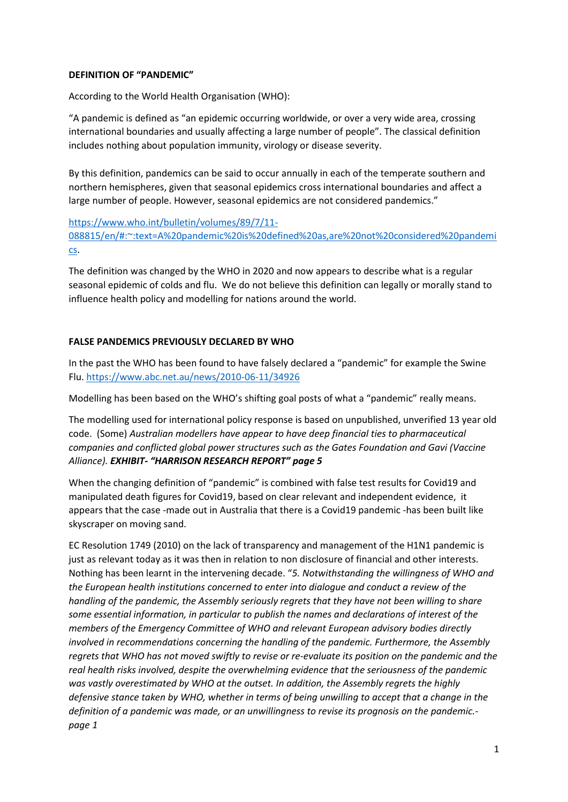## **DEFINITION OF "PANDEMIC"**

According to the World Health Organisation (WHO):

"A pandemic is defined as "an epidemic occurring worldwide, or over a very wide area, crossing international boundaries and usually affecting a large number of people". The classical definition includes nothing about population immunity, virology or disease severity.

By this definition, pandemics can be said to occur annually in each of the temperate southern and northern hemispheres, given that seasonal epidemics cross international boundaries and affect a large number of people. However, seasonal epidemics are not considered pandemics."

[https://www.who.int/bulletin/volumes/89/7/11-](https://www.who.int/bulletin/volumes/89/7/11-088815/en/#:~:text=A%20pandemic%20is%20defined%20as,are%20not%20considered%20pandemics) [088815/en/#:~:text=A%20pandemic%20is%20defined%20as,are%20not%20considered%20pandemi](https://www.who.int/bulletin/volumes/89/7/11-088815/en/#:~:text=A%20pandemic%20is%20defined%20as,are%20not%20considered%20pandemics) [cs.](https://www.who.int/bulletin/volumes/89/7/11-088815/en/#:~:text=A%20pandemic%20is%20defined%20as,are%20not%20considered%20pandemics)

The definition was changed by the WHO in 2020 and now appears to describe what is a regular seasonal epidemic of colds and flu. We do not believe this definition can legally or morally stand to influence health policy and modelling for nations around the world.

## **FALSE PANDEMICS PREVIOUSLY DECLARED BY WHO**

In the past the WHO has been found to have falsely declared a "pandemic" for example the Swine Flu[. https://www.abc.net.au/news/2010-06-11/34926](https://www.abc.net.au/news/2010-06-11/34926)

Modelling has been based on the WHO's shifting goal posts of what a "pandemic" really means.

The modelling used for international policy response is based on unpublished, unverified 13 year old code. (Some) *Australian modellers have appear to have deep financial ties to pharmaceutical companies and conflicted global power structures such as the Gates Foundation and Gavi (Vaccine Alliance). EXHIBIT- "HARRISON RESEARCH REPORT" page 5* 

When the changing definition of "pandemic" is combined with false test results for Covid19 and manipulated death figures for Covid19, based on clear relevant and independent evidence, it appears that the case -made out in Australia that there is a Covid19 pandemic -has been built like skyscraper on moving sand.

EC Resolution 1749 (2010) on the lack of transparency and management of the H1N1 pandemic is just as relevant today as it was then in relation to non disclosure of financial and other interests. Nothing has been learnt in the intervening decade. "*5. Notwithstanding the willingness of WHO and the European health institutions concerned to enter into dialogue and conduct a review of the handling of the pandemic, the Assembly seriously regrets that they have not been willing to share some essential information, in particular to publish the names and declarations of interest of the members of the Emergency Committee of WHO and relevant European advisory bodies directly involved in recommendations concerning the handling of the pandemic. Furthermore, the Assembly regrets that WHO has not moved swiftly to revise or re-evaluate its position on the pandemic and the real health risks involved, despite the overwhelming evidence that the seriousness of the pandemic was vastly overestimated by WHO at the outset. In addition, the Assembly regrets the highly defensive stance taken by WHO, whether in terms of being unwilling to accept that a change in the definition of a pandemic was made, or an unwillingness to revise its prognosis on the pandemic. page 1*